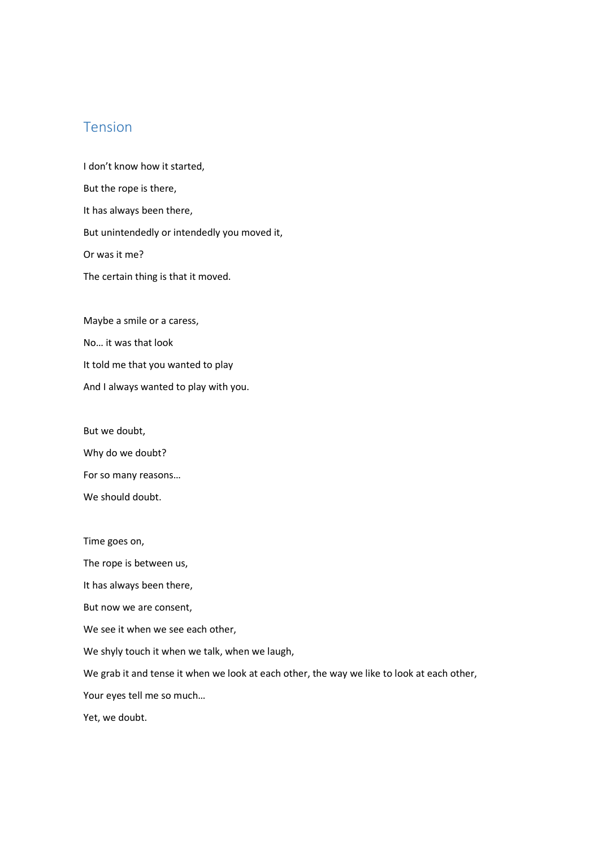## Tension

I don't know how it started, But the rope is there, It has always been there, But unintendedly or intendedly you moved it, Or was it me? The certain thing is that it moved.

Maybe a smile or a caress, No… it was that look It told me that you wanted to play And I always wanted to play with you.

But we doubt,

Why do we doubt?

For so many reasons…

We should doubt.

Time goes on,

The rope is between us,

It has always been there,

But now we are consent,

We see it when we see each other,

We shyly touch it when we talk, when we laugh,

We grab it and tense it when we look at each other, the way we like to look at each other,

Your eyes tell me so much…

Yet, we doubt.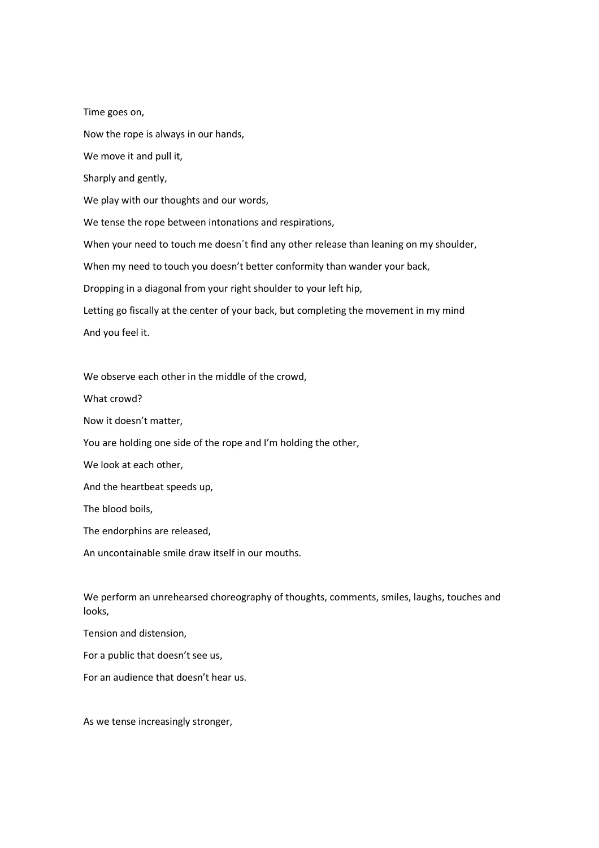Time goes on, Now the rope is always in our hands, We move it and pull it, Sharply and gently, We play with our thoughts and our words, We tense the rope between intonations and respirations, When your need to touch me doesn't find any other release than leaning on my shoulder, When my need to touch you doesn't better conformity than wander your back, Dropping in a diagonal from your right shoulder to your left hip, Letting go fiscally at the center of your back, but completing the movement in my mind And you feel it.

We observe each other in the middle of the crowd,

What crowd?

Now it doesn't matter,

You are holding one side of the rope and I'm holding the other,

We look at each other,

And the heartbeat speeds up,

The blood boils,

The endorphins are released,

An uncontainable smile draw itself in our mouths.

We perform an unrehearsed choreography of thoughts, comments, smiles, laughs, touches and looks,

Tension and distension,

For a public that doesn't see us,

For an audience that doesn't hear us.

As we tense increasingly stronger,